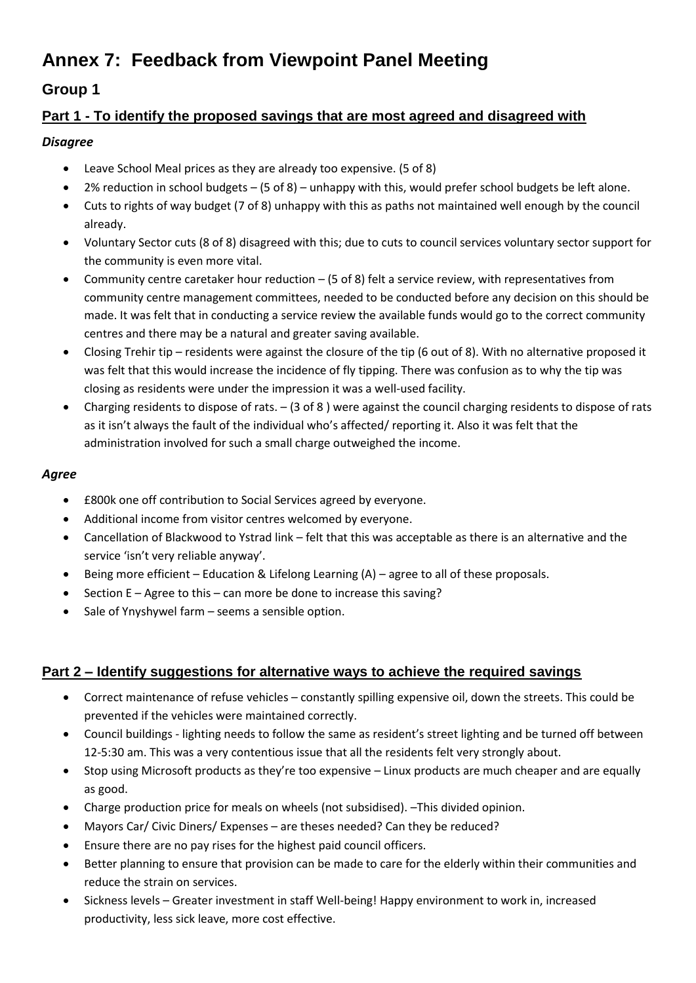# **Annex 7: Feedback from Viewpoint Panel Meeting**

# **Group 1**

## **Part 1 - To identify the proposed savings that are most agreed and disagreed with**

### *Disagree*

- Leave School Meal prices as they are already too expensive. (5 of 8)
- 2% reduction in school budgets (5 of 8) unhappy with this, would prefer school budgets be left alone.
- Cuts to rights of way budget (7 of 8) unhappy with this as paths not maintained well enough by the council already.
- Voluntary Sector cuts (8 of 8) disagreed with this; due to cuts to council services voluntary sector support for the community is even more vital.
- Community centre caretaker hour reduction (5 of 8) felt a service review, with representatives from community centre management committees, needed to be conducted before any decision on this should be made. It was felt that in conducting a service review the available funds would go to the correct community centres and there may be a natural and greater saving available.
- Closing Trehir tip residents were against the closure of the tip (6 out of 8). With no alternative proposed it was felt that this would increase the incidence of fly tipping. There was confusion as to why the tip was closing as residents were under the impression it was a well-used facility.
- Charging residents to dispose of rats. (3 of 8 ) were against the council charging residents to dispose of rats as it isn't always the fault of the individual who's affected/ reporting it. Also it was felt that the administration involved for such a small charge outweighed the income.

## *Agree*

- £800k one off contribution to Social Services agreed by everyone.
- Additional income from visitor centres welcomed by everyone.
- Cancellation of Blackwood to Ystrad link felt that this was acceptable as there is an alternative and the service 'isn't very reliable anyway'.
- Being more efficient Education & Lifelong Learning (A) agree to all of these proposals.
- Section E Agree to this can more be done to increase this saving?
- Sale of Ynyshywel farm seems a sensible option.

## **Part 2 – Identify suggestions for alternative ways to achieve the required savings**

- Correct maintenance of refuse vehicles constantly spilling expensive oil, down the streets. This could be prevented if the vehicles were maintained correctly.
- Council buildings lighting needs to follow the same as resident's street lighting and be turned off between 12-5:30 am. This was a very contentious issue that all the residents felt very strongly about.
- Stop using Microsoft products as they're too expensive Linux products are much cheaper and are equally as good.
- Charge production price for meals on wheels (not subsidised). –This divided opinion.
- Mayors Car/ Civic Diners/ Expenses are theses needed? Can they be reduced?
- Ensure there are no pay rises for the highest paid council officers.
- Better planning to ensure that provision can be made to care for the elderly within their communities and reduce the strain on services.
- Sickness levels Greater investment in staff Well-being! Happy environment to work in, increased productivity, less sick leave, more cost effective.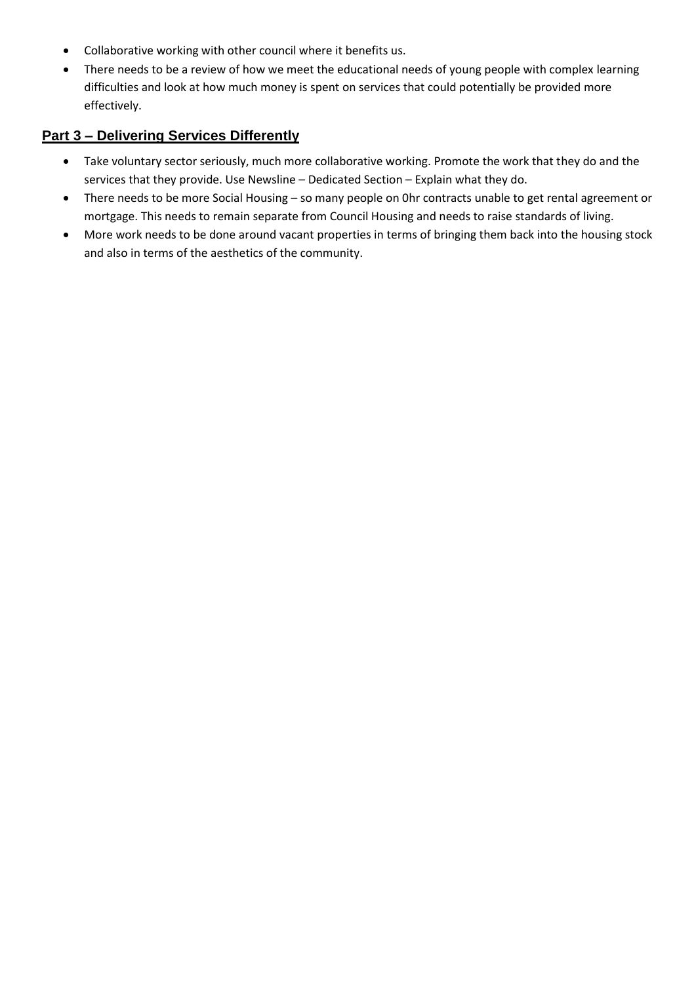- Collaborative working with other council where it benefits us.
- There needs to be a review of how we meet the educational needs of young people with complex learning difficulties and look at how much money is spent on services that could potentially be provided more effectively.

### **Part 3 – Delivering Services Differently**

- Take voluntary sector seriously, much more collaborative working. Promote the work that they do and the services that they provide. Use Newsline – Dedicated Section – Explain what they do.
- There needs to be more Social Housing so many people on 0hr contracts unable to get rental agreement or mortgage. This needs to remain separate from Council Housing and needs to raise standards of living.
- More work needs to be done around vacant properties in terms of bringing them back into the housing stock and also in terms of the aesthetics of the community.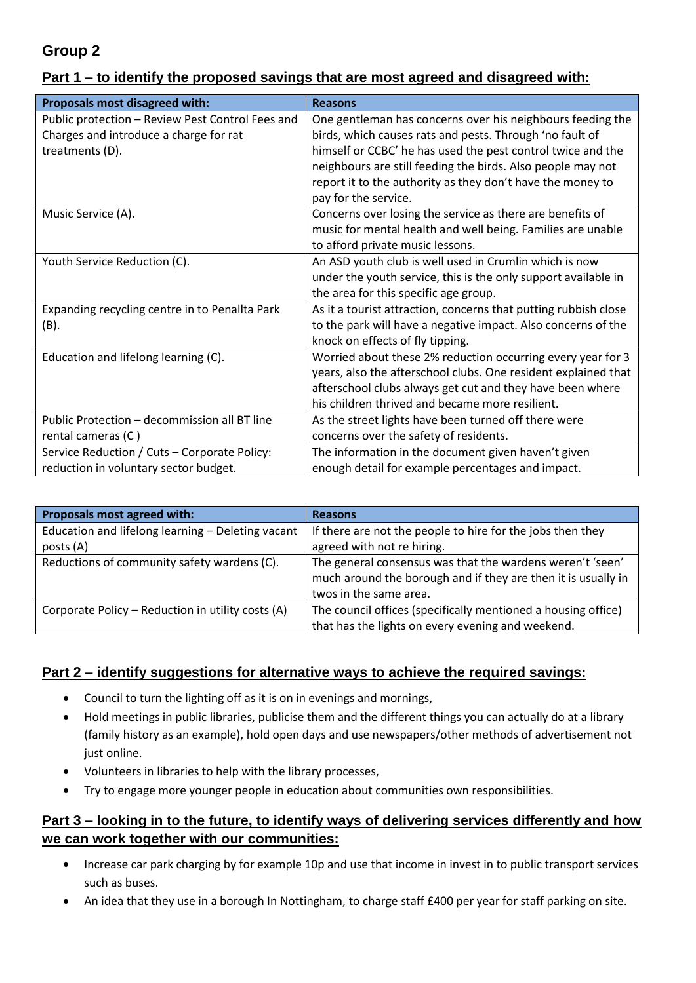# **Group 2**

## **Part 1 – to identify the proposed savings that are most agreed and disagreed with:**

| Proposals most disagreed with:                   | <b>Reasons</b>                                                  |  |  |
|--------------------------------------------------|-----------------------------------------------------------------|--|--|
| Public protection - Review Pest Control Fees and | One gentleman has concerns over his neighbours feeding the      |  |  |
| Charges and introduce a charge for rat           | birds, which causes rats and pests. Through 'no fault of        |  |  |
| treatments (D).                                  | himself or CCBC' he has used the pest control twice and the     |  |  |
|                                                  | neighbours are still feeding the birds. Also people may not     |  |  |
|                                                  | report it to the authority as they don't have the money to      |  |  |
|                                                  | pay for the service.                                            |  |  |
| Music Service (A).                               | Concerns over losing the service as there are benefits of       |  |  |
|                                                  | music for mental health and well being. Families are unable     |  |  |
|                                                  | to afford private music lessons.                                |  |  |
| Youth Service Reduction (C).                     | An ASD youth club is well used in Crumlin which is now          |  |  |
|                                                  | under the youth service, this is the only support available in  |  |  |
|                                                  | the area for this specific age group.                           |  |  |
| Expanding recycling centre in to Penallta Park   | As it a tourist attraction, concerns that putting rubbish close |  |  |
| (B).                                             | to the park will have a negative impact. Also concerns of the   |  |  |
|                                                  | knock on effects of fly tipping.                                |  |  |
| Education and lifelong learning (C).             | Worried about these 2% reduction occurring every year for 3     |  |  |
|                                                  | years, also the afterschool clubs. One resident explained that  |  |  |
|                                                  | afterschool clubs always get cut and they have been where       |  |  |
|                                                  | his children thrived and became more resilient.                 |  |  |
| Public Protection - decommission all BT line     | As the street lights have been turned off there were            |  |  |
| rental cameras (C)                               | concerns over the safety of residents.                          |  |  |
| Service Reduction / Cuts - Corporate Policy:     | The information in the document given haven't given             |  |  |
| reduction in voluntary sector budget.            | enough detail for example percentages and impact.               |  |  |

| Proposals most agreed with:                       | <b>Reasons</b>                                                |  |
|---------------------------------------------------|---------------------------------------------------------------|--|
| Education and lifelong learning - Deleting vacant | If there are not the people to hire for the jobs then they    |  |
| posts (A)                                         | agreed with not re hiring.                                    |  |
| Reductions of community safety wardens (C).       | The general consensus was that the wardens weren't 'seen'     |  |
|                                                   | much around the borough and if they are then it is usually in |  |
|                                                   | twos in the same area.                                        |  |
| Corporate Policy - Reduction in utility costs (A) | The council offices (specifically mentioned a housing office) |  |
|                                                   | that has the lights on every evening and weekend.             |  |

#### **Part 2 – identify suggestions for alternative ways to achieve the required savings:**

- Council to turn the lighting off as it is on in evenings and mornings,
- Hold meetings in public libraries, publicise them and the different things you can actually do at a library (family history as an example), hold open days and use newspapers/other methods of advertisement not just online.
- Volunteers in libraries to help with the library processes,
- Try to engage more younger people in education about communities own responsibilities.

#### **Part 3 – looking in to the future, to identify ways of delivering services differently and how we can work together with our communities:**

- Increase car park charging by for example 10p and use that income in invest in to public transport services such as buses.
- An idea that they use in a borough In Nottingham, to charge staff £400 per year for staff parking on site.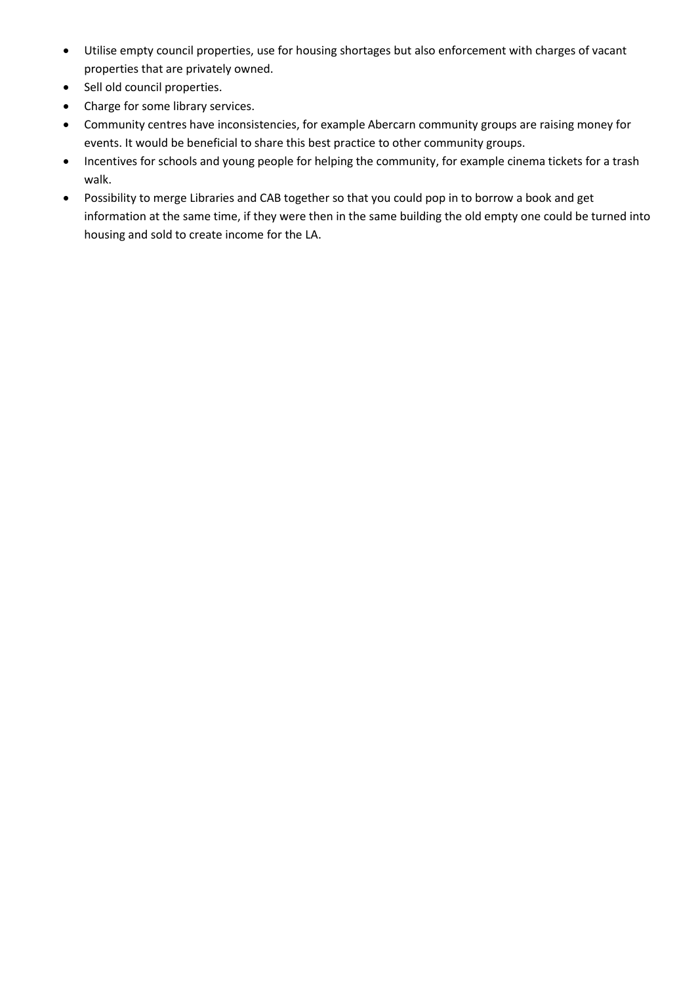- Utilise empty council properties, use for housing shortages but also enforcement with charges of vacant properties that are privately owned.
- Sell old council properties.
- Charge for some library services.
- Community centres have inconsistencies, for example Abercarn community groups are raising money for events. It would be beneficial to share this best practice to other community groups.
- Incentives for schools and young people for helping the community, for example cinema tickets for a trash walk.
- Possibility to merge Libraries and CAB together so that you could pop in to borrow a book and get information at the same time, if they were then in the same building the old empty one could be turned into housing and sold to create income for the LA.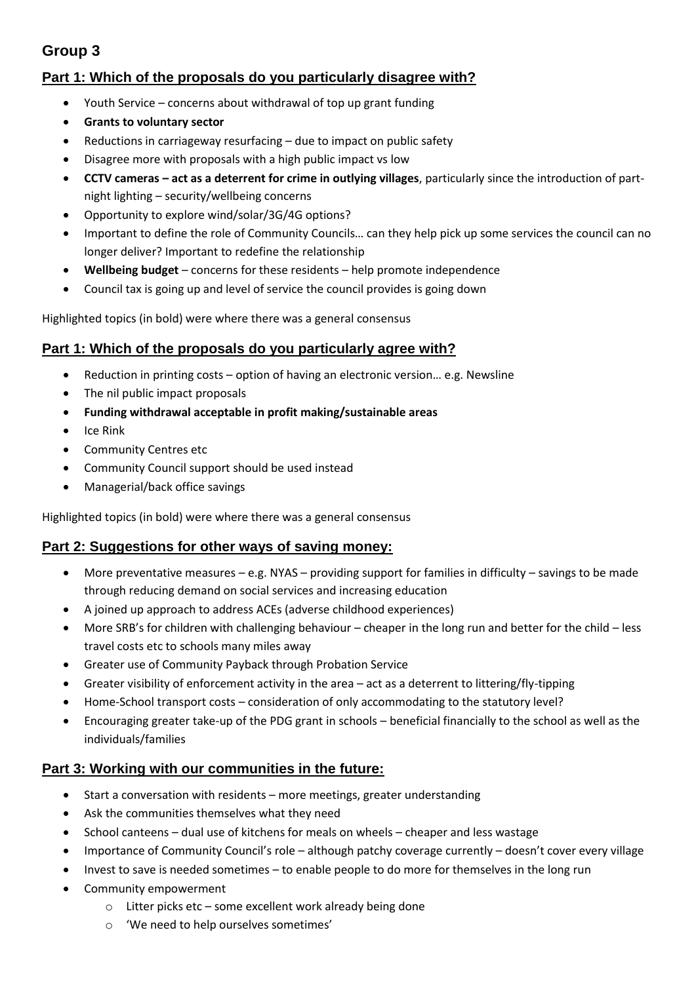# **Group 3**

## **Part 1: Which of the proposals do you particularly disagree with?**

- Youth Service concerns about withdrawal of top up grant funding
- **Grants to voluntary sector**
- Reductions in carriageway resurfacing due to impact on public safety
- Disagree more with proposals with a high public impact vs low
- **CCTV cameras – act as a deterrent for crime in outlying villages**, particularly since the introduction of partnight lighting – security/wellbeing concerns
- Opportunity to explore wind/solar/3G/4G options?
- Important to define the role of Community Councils… can they help pick up some services the council can no longer deliver? Important to redefine the relationship
- **Wellbeing budget** concerns for these residents help promote independence
- Council tax is going up and level of service the council provides is going down

Highlighted topics (in bold) were where there was a general consensus

#### **Part 1: Which of the proposals do you particularly agree with?**

- Reduction in printing costs option of having an electronic version… e.g. Newsline
- The nil public impact proposals
- **Funding withdrawal acceptable in profit making/sustainable areas**
- $\bullet$  Ice Rink
- Community Centres etc
- Community Council support should be used instead
- Managerial/back office savings

Highlighted topics (in bold) were where there was a general consensus

#### **Part 2: Suggestions for other ways of saving money:**

- More preventative measures e.g. NYAS providing support for families in difficulty savings to be made through reducing demand on social services and increasing education
- A joined up approach to address ACEs (adverse childhood experiences)
- More SRB's for children with challenging behaviour cheaper in the long run and better for the child less travel costs etc to schools many miles away
- Greater use of Community Payback through Probation Service
- Greater visibility of enforcement activity in the area act as a deterrent to littering/fly-tipping
- Home-School transport costs consideration of only accommodating to the statutory level?
- Encouraging greater take-up of the PDG grant in schools beneficial financially to the school as well as the individuals/families

#### **Part 3: Working with our communities in the future:**

- Start a conversation with residents more meetings, greater understanding
- Ask the communities themselves what they need
- School canteens dual use of kitchens for meals on wheels cheaper and less wastage
- Importance of Community Council's role although patchy coverage currently doesn't cover every village
- Invest to save is needed sometimes to enable people to do more for themselves in the long run
- Community empowerment
	- o Litter picks etc some excellent work already being done
	- o 'We need to help ourselves sometimes'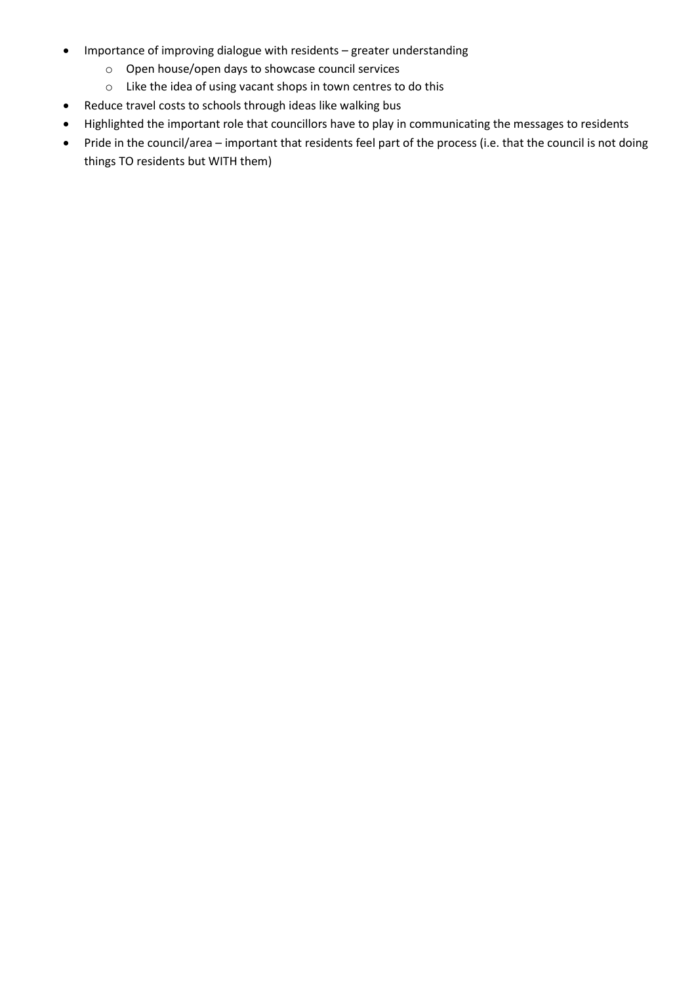- Importance of improving dialogue with residents greater understanding
	- o Open house/open days to showcase council services
	- o Like the idea of using vacant shops in town centres to do this
- Reduce travel costs to schools through ideas like walking bus
- Highlighted the important role that councillors have to play in communicating the messages to residents
- Pride in the council/area important that residents feel part of the process (i.e. that the council is not doing things TO residents but WITH them)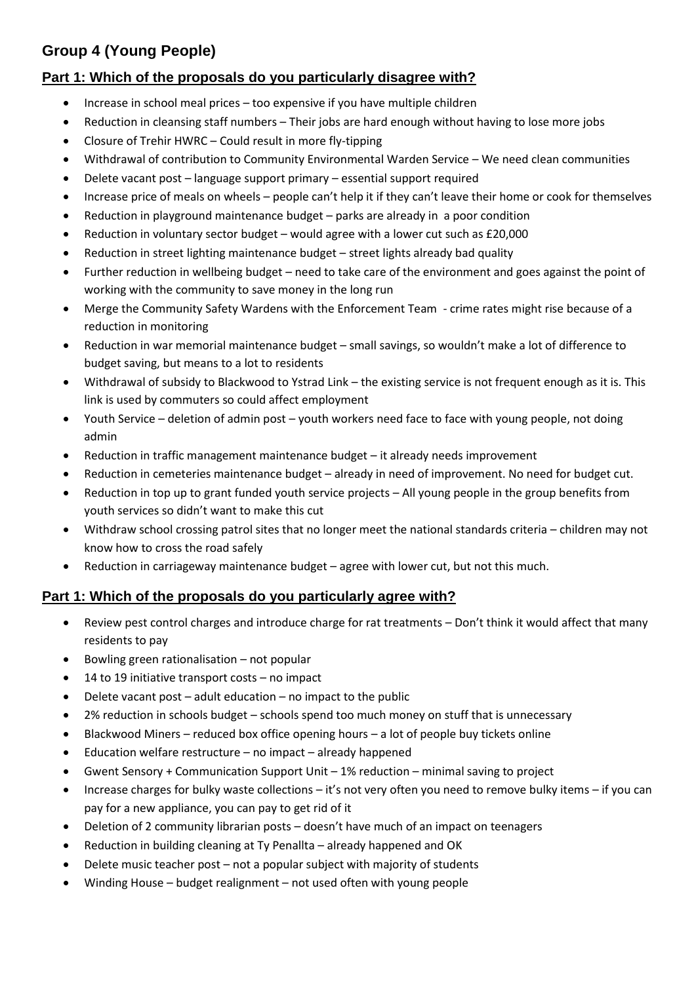# **Group 4 (Young People)**

## **Part 1: Which of the proposals do you particularly disagree with?**

- Increase in school meal prices too expensive if you have multiple children
- Reduction in cleansing staff numbers Their jobs are hard enough without having to lose more jobs
- Closure of Trehir HWRC Could result in more fly-tipping
- Withdrawal of contribution to Community Environmental Warden Service We need clean communities
- Delete vacant post language support primary essential support required
- Increase price of meals on wheels people can't help it if they can't leave their home or cook for themselves
- Reduction in playground maintenance budget parks are already in a poor condition
- Reduction in voluntary sector budget would agree with a lower cut such as £20,000
- Reduction in street lighting maintenance budget street lights already bad quality
- Further reduction in wellbeing budget need to take care of the environment and goes against the point of working with the community to save money in the long run
- Merge the Community Safety Wardens with the Enforcement Team crime rates might rise because of a reduction in monitoring
- Reduction in war memorial maintenance budget small savings, so wouldn't make a lot of difference to budget saving, but means to a lot to residents
- Withdrawal of subsidy to Blackwood to Ystrad Link the existing service is not frequent enough as it is. This link is used by commuters so could affect employment
- Youth Service deletion of admin post youth workers need face to face with young people, not doing admin
- Reduction in traffic management maintenance budget it already needs improvement
- Reduction in cemeteries maintenance budget already in need of improvement. No need for budget cut.
- Reduction in top up to grant funded youth service projects All young people in the group benefits from youth services so didn't want to make this cut
- Withdraw school crossing patrol sites that no longer meet the national standards criteria children may not know how to cross the road safely
- Reduction in carriageway maintenance budget agree with lower cut, but not this much.

## **Part 1: Which of the proposals do you particularly agree with?**

- Review pest control charges and introduce charge for rat treatments Don't think it would affect that many residents to pay
- $\bullet$  Bowling green rationalisation not popular
- 14 to 19 initiative transport costs no impact
- $\bullet$  Delete vacant post adult education no impact to the public
- 2% reduction in schools budget schools spend too much money on stuff that is unnecessary
- Blackwood Miners reduced box office opening hours a lot of people buy tickets online
- Education welfare restructure no impact already happened
- Gwent Sensory + Communication Support Unit 1% reduction minimal saving to project
- Increase charges for bulky waste collections it's not very often you need to remove bulky items if you can pay for a new appliance, you can pay to get rid of it
- Deletion of 2 community librarian posts doesn't have much of an impact on teenagers
- Reduction in building cleaning at Ty Penallta already happened and OK
- Delete music teacher post not a popular subject with majority of students
- Winding House budget realignment not used often with young people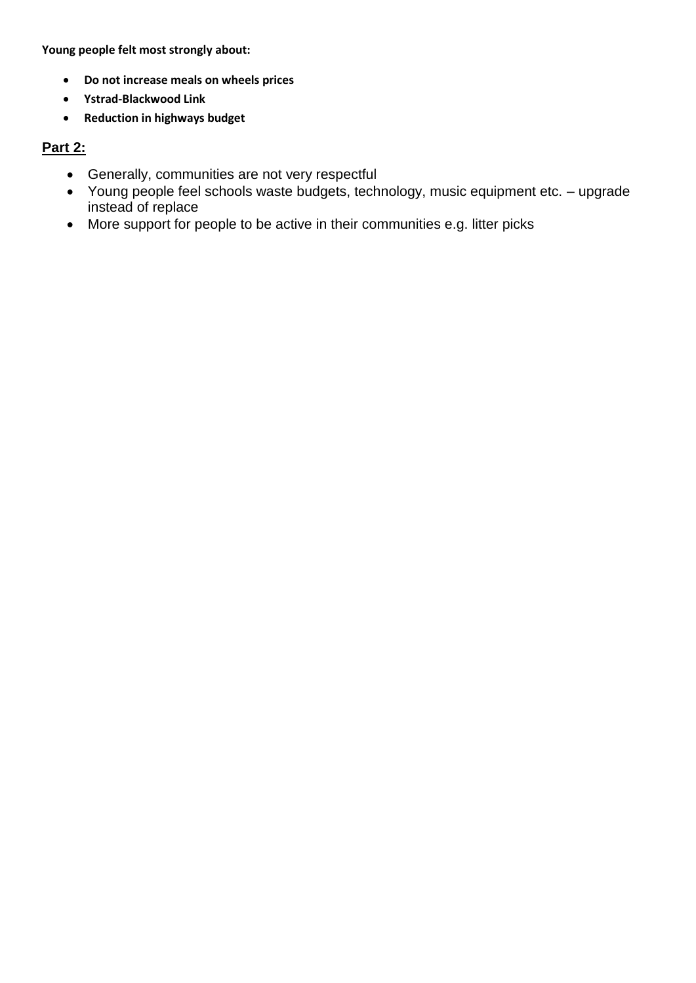**Young people felt most strongly about:** 

- **Do not increase meals on wheels prices**
- **Ystrad-Blackwood Link**
- **Reduction in highways budget**

## **Part 2:**

- Generally, communities are not very respectful
- Young people feel schools waste budgets, technology, music equipment etc. upgrade instead of replace
- More support for people to be active in their communities e.g. litter picks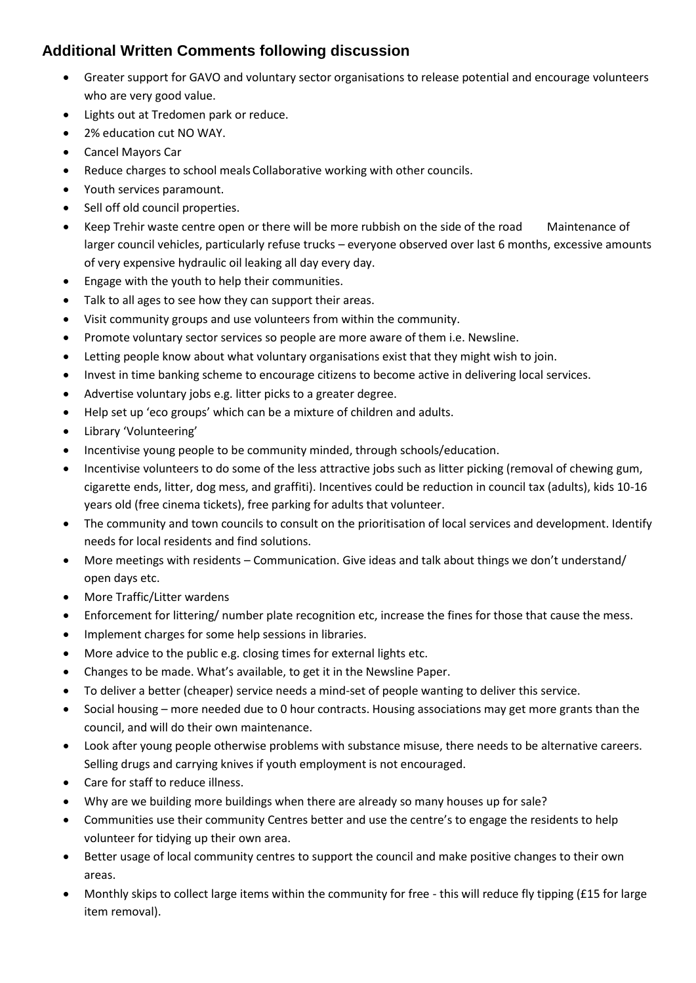# **Additional Written Comments following discussion**

- Greater support for GAVO and voluntary sector organisations to release potential and encourage volunteers who are very good value.
- Lights out at Tredomen park or reduce.
- 2% education cut NO WAY.
- Cancel Mayors Car
- Reduce charges to school meals Collaborative working with other councils.
- Youth services paramount.
- Sell off old council properties.
- Keep Trehir waste centre open or there will be more rubbish on the side of the road Maintenance of larger council vehicles, particularly refuse trucks – everyone observed over last 6 months, excessive amounts of very expensive hydraulic oil leaking all day every day.
- Engage with the youth to help their communities.
- Talk to all ages to see how they can support their areas.
- Visit community groups and use volunteers from within the community.
- Promote voluntary sector services so people are more aware of them i.e. Newsline.
- Letting people know about what voluntary organisations exist that they might wish to join.
- Invest in time banking scheme to encourage citizens to become active in delivering local services.
- Advertise voluntary jobs e.g. litter picks to a greater degree.
- Help set up 'eco groups' which can be a mixture of children and adults.
- Library 'Volunteering'
- Incentivise young people to be community minded, through schools/education.
- Incentivise volunteers to do some of the less attractive jobs such as litter picking (removal of chewing gum, cigarette ends, litter, dog mess, and graffiti). Incentives could be reduction in council tax (adults), kids 10-16 years old (free cinema tickets), free parking for adults that volunteer.
- The community and town councils to consult on the prioritisation of local services and development. Identify needs for local residents and find solutions.
- More meetings with residents Communication. Give ideas and talk about things we don't understand/ open days etc.
- More Traffic/Litter wardens
- Enforcement for littering/ number plate recognition etc, increase the fines for those that cause the mess.
- Implement charges for some help sessions in libraries.
- More advice to the public e.g. closing times for external lights etc.
- Changes to be made. What's available, to get it in the Newsline Paper.
- To deliver a better (cheaper) service needs a mind-set of people wanting to deliver this service.
- Social housing more needed due to 0 hour contracts. Housing associations may get more grants than the council, and will do their own maintenance.
- Look after young people otherwise problems with substance misuse, there needs to be alternative careers. Selling drugs and carrying knives if youth employment is not encouraged.
- Care for staff to reduce illness.
- Why are we building more buildings when there are already so many houses up for sale?
- Communities use their community Centres better and use the centre's to engage the residents to help volunteer for tidying up their own area.
- Better usage of local community centres to support the council and make positive changes to their own areas.
- Monthly skips to collect large items within the community for free this will reduce fly tipping (£15 for large item removal).